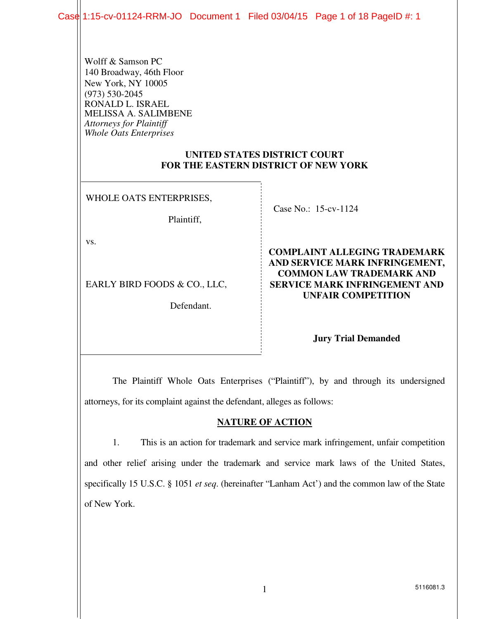Case 1:15-cv-01124-RRM-JO Document 1 Filed 03/04/15 Page 1 of 18 PageID #: 1

Wolff & Samson PC 140 Broadway, 46th Floor New York, NY 10005 (973) 530-2045 RONALD L. ISRAEL MELISSA A. SALIMBENE *Attorneys for Plaintiff Whole Oats Enterprises* 

#### **UNITED STATES DISTRICT COURT FOR THE EASTERN DISTRICT OF NEW YORK**

WHOLE OATS ENTERPRISES,

Plaintiff,

vs.

EARLY BIRD FOODS & CO., LLC,

Defendant.

Case No.: 15-cv-1124

**COMPLAINT ALLEGING TRADEMARK AND SERVICE MARK INFRINGEMENT, COMMON LAW TRADEMARK AND SERVICE MARK INFRINGEMENT AND UNFAIR COMPETITION** 

#### **Jury Trial Demanded**

 The Plaintiff Whole Oats Enterprises ("Plaintiff"), by and through its undersigned attorneys, for its complaint against the defendant, alleges as follows:

#### **NATURE OF ACTION**

 1. This is an action for trademark and service mark infringement, unfair competition and other relief arising under the trademark and service mark laws of the United States, specifically 15 U.S.C. § 1051 *et seq*. (hereinafter "Lanham Act') and the common law of the State of New York.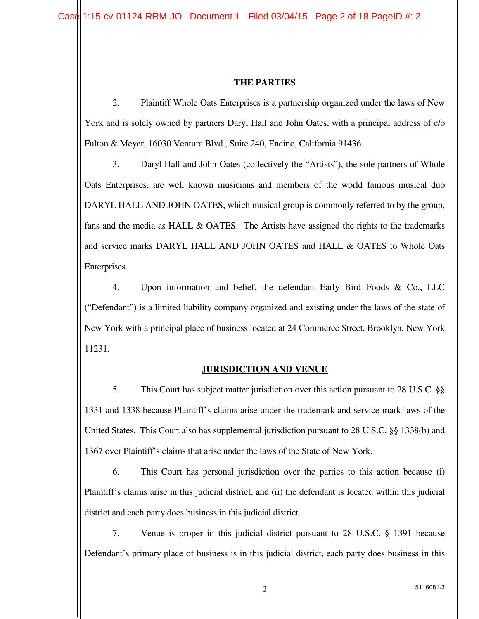#### **THE PARTIES**

2. Plaintiff Whole Oats Enterprises is a partnership organized under the laws of New York and is solely owned by partners Daryl Hall and John Oates, with a principal address of c/o Fulton & Meyer, 16030 Ventura Blvd., Suite 240, Encino, California 91436.

 3. Daryl Hall and John Oates (collectively the "Artists"), the sole partners of Whole Oats Enterprises, are well known musicians and members of the world famous musical duo DARYL HALL AND JOHN OATES, which musical group is commonly referred to by the group, fans and the media as HALL & OATES. The Artists have assigned the rights to the trademarks and service marks DARYL HALL AND JOHN OATES and HALL & OATES to Whole Oats Enterprises.

 4. Upon information and belief, the defendant Early Bird Foods & Co., LLC ("Defendant") is a limited liability company organized and existing under the laws of the state of New York with a principal place of business located at 24 Commerce Street, Brooklyn, New York 11231.

#### **JURISDICTION AND VENUE**

 5. This Court has subject matter jurisdiction over this action pursuant to 28 U.S.C. §§ 1331 and 1338 because Plaintiff's claims arise under the trademark and service mark laws of the United States. This Court also has supplemental jurisdiction pursuant to 28 U.S.C. §§ 1338(b) and 1367 over Plaintiff's claims that arise under the laws of the State of New York.

 6. This Court has personal jurisdiction over the parties to this action because (i) Plaintiff's claims arise in this judicial district, and (ii) the defendant is located within this judicial district and each party does business in this judicial district.

 7. Venue is proper in this judicial district pursuant to 28 U.S.C. § 1391 because Defendant's primary place of business is in this judicial district, each party does business in this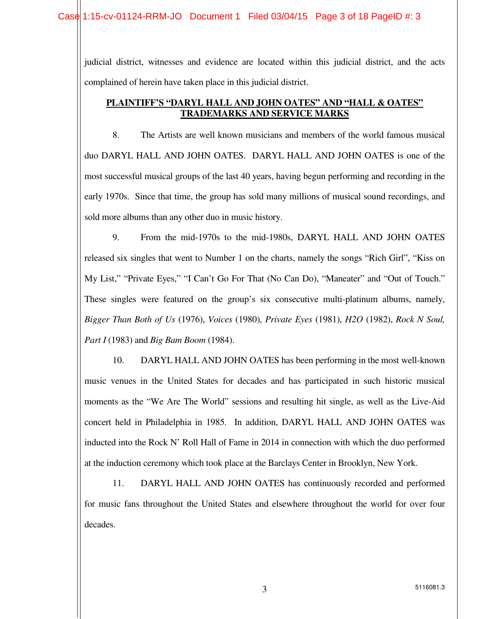judicial district, witnesses and evidence are located within this judicial district, and the acts complained of herein have taken place in this judicial district.

#### **PLAINTIFF'S "DARYL HALL AND JOHN OATES" AND "HALL & OATES" TRADEMARKS AND SERVICE MARKS**

 8. The Artists are well known musicians and members of the world famous musical duo DARYL HALL AND JOHN OATES. DARYL HALL AND JOHN OATES is one of the most successful musical groups of the last 40 years, having begun performing and recording in the early 1970s. Since that time, the group has sold many millions of musical sound recordings, and sold more albums than any other duo in music history.

 9. From the mid-1970s to the mid-1980s, DARYL HALL AND JOHN OATES released six singles that went to Number 1 on the charts, namely the songs "Rich Girl", "Kiss on My List," "Private Eyes," "I Can't Go For That (No Can Do), "Maneater" and "Out of Touch." These singles were featured on the group's six consecutive multi-platinum albums, namely, *Bigger Than Both of Us* (1976), *Voices* (1980), *Private Eyes* (1981), *H2O* (1982), *Rock N Soul, Part I* (1983) and *Big Bam Boom* (1984).

 10. DARYL HALL AND JOHN OATES has been performing in the most well-known music venues in the United States for decades and has participated in such historic musical moments as the "We Are The World" sessions and resulting hit single, as well as the Live-Aid concert held in Philadelphia in 1985. In addition, DARYL HALL AND JOHN OATES was inducted into the Rock N' Roll Hall of Fame in 2014 in connection with which the duo performed at the induction ceremony which took place at the Barclays Center in Brooklyn, New York.

 11. DARYL HALL AND JOHN OATES has continuously recorded and performed for music fans throughout the United States and elsewhere throughout the world for over four decades.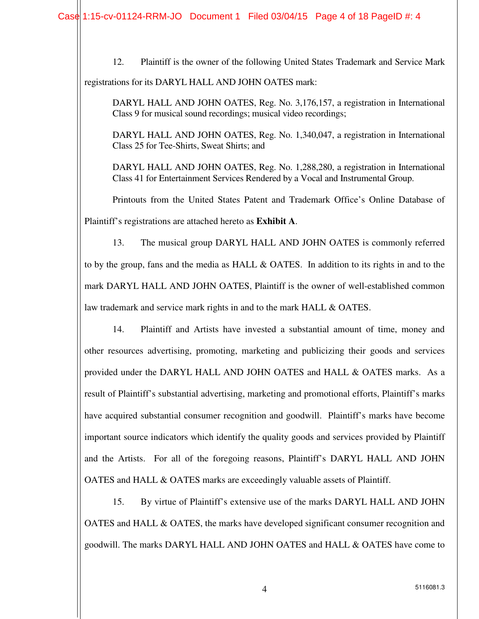12. Plaintiff is the owner of the following United States Trademark and Service Mark

registrations for its DARYL HALL AND JOHN OATES mark:

DARYL HALL AND JOHN OATES, Reg. No. 3,176,157, a registration in International Class 9 for musical sound recordings; musical video recordings;

DARYL HALL AND JOHN OATES, Reg. No. 1,340,047, a registration in International Class 25 for Tee-Shirts, Sweat Shirts; and

DARYL HALL AND JOHN OATES, Reg. No. 1,288,280, a registration in International Class 41 for Entertainment Services Rendered by a Vocal and Instrumental Group.

Printouts from the United States Patent and Trademark Office's Online Database of Plaintiff's registrations are attached hereto as **Exhibit A**.

13. The musical group DARYL HALL AND JOHN OATES is commonly referred to by the group, fans and the media as HALL & OATES. In addition to its rights in and to the mark DARYL HALL AND JOHN OATES, Plaintiff is the owner of well-established common law trademark and service mark rights in and to the mark HALL & OATES.

14. Plaintiff and Artists have invested a substantial amount of time, money and other resources advertising, promoting, marketing and publicizing their goods and services provided under the DARYL HALL AND JOHN OATES and HALL & OATES marks. As a result of Plaintiff's substantial advertising, marketing and promotional efforts, Plaintiff's marks have acquired substantial consumer recognition and goodwill. Plaintiff's marks have become important source indicators which identify the quality goods and services provided by Plaintiff and the Artists. For all of the foregoing reasons, Plaintiff's DARYL HALL AND JOHN OATES and HALL & OATES marks are exceedingly valuable assets of Plaintiff.

 15. By virtue of Plaintiff's extensive use of the marks DARYL HALL AND JOHN OATES and HALL & OATES, the marks have developed significant consumer recognition and goodwill. The marks DARYL HALL AND JOHN OATES and HALL & OATES have come to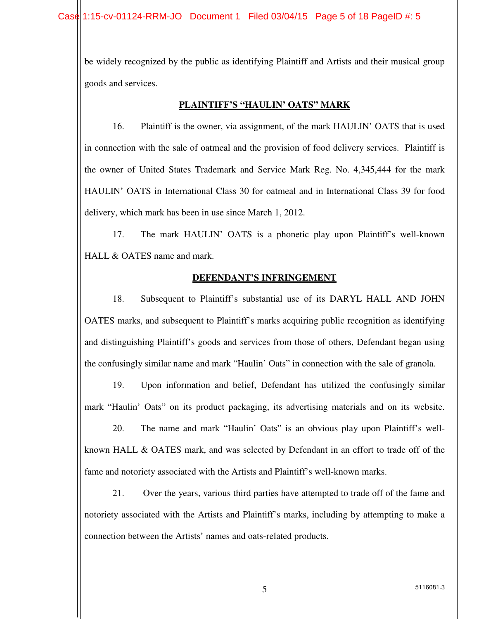be widely recognized by the public as identifying Plaintiff and Artists and their musical group goods and services.

#### **PLAINTIFF'S "HAULIN' OATS" MARK**

 16. Plaintiff is the owner, via assignment, of the mark HAULIN' OATS that is used in connection with the sale of oatmeal and the provision of food delivery services. Plaintiff is the owner of United States Trademark and Service Mark Reg. No. 4,345,444 for the mark HAULIN' OATS in International Class 30 for oatmeal and in International Class 39 for food delivery, which mark has been in use since March 1, 2012.

 17. The mark HAULIN' OATS is a phonetic play upon Plaintiff's well-known HALL & OATES name and mark.

#### **DEFENDANT'S INFRINGEMENT**

 18. Subsequent to Plaintiff's substantial use of its DARYL HALL AND JOHN OATES marks, and subsequent to Plaintiff's marks acquiring public recognition as identifying and distinguishing Plaintiff's goods and services from those of others, Defendant began using the confusingly similar name and mark "Haulin' Oats" in connection with the sale of granola.

 19. Upon information and belief, Defendant has utilized the confusingly similar mark "Haulin' Oats" on its product packaging, its advertising materials and on its website.

 20. The name and mark "Haulin' Oats" is an obvious play upon Plaintiff's wellknown HALL & OATES mark, and was selected by Defendant in an effort to trade off of the fame and notoriety associated with the Artists and Plaintiff's well-known marks.

 21. Over the years, various third parties have attempted to trade off of the fame and notoriety associated with the Artists and Plaintiff's marks, including by attempting to make a connection between the Artists' names and oats-related products.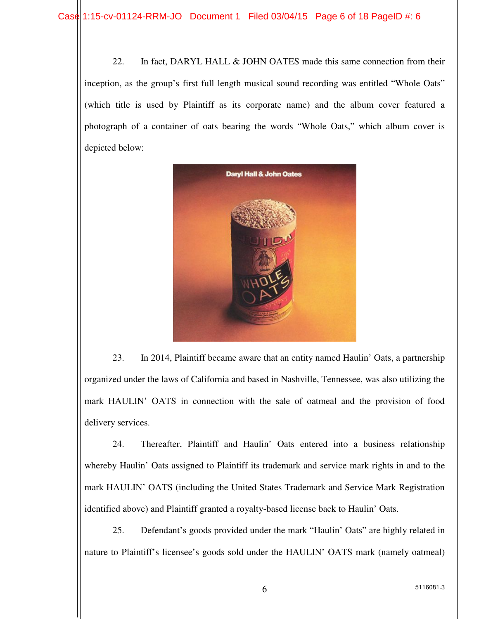22. In fact, DARYL HALL & JOHN OATES made this same connection from their inception, as the group's first full length musical sound recording was entitled "Whole Oats" (which title is used by Plaintiff as its corporate name) and the album cover featured a photograph of a container of oats bearing the words "Whole Oats," which album cover is depicted below:



 23. In 2014, Plaintiff became aware that an entity named Haulin' Oats, a partnership organized under the laws of California and based in Nashville, Tennessee, was also utilizing the mark HAULIN' OATS in connection with the sale of oatmeal and the provision of food delivery services.

 24. Thereafter, Plaintiff and Haulin' Oats entered into a business relationship whereby Haulin' Oats assigned to Plaintiff its trademark and service mark rights in and to the mark HAULIN' OATS (including the United States Trademark and Service Mark Registration identified above) and Plaintiff granted a royalty-based license back to Haulin' Oats.

25. Defendant's goods provided under the mark "Haulin' Oats" are highly related in nature to Plaintiff's licensee's goods sold under the HAULIN' OATS mark (namely oatmeal)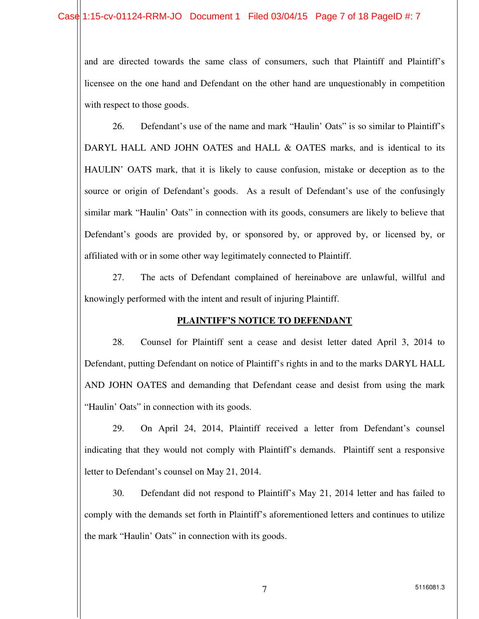and are directed towards the same class of consumers, such that Plaintiff and Plaintiff's licensee on the one hand and Defendant on the other hand are unquestionably in competition with respect to those goods.

26. Defendant's use of the name and mark "Haulin' Oats" is so similar to Plaintiff's DARYL HALL AND JOHN OATES and HALL & OATES marks, and is identical to its HAULIN' OATS mark, that it is likely to cause confusion, mistake or deception as to the source or origin of Defendant's goods. As a result of Defendant's use of the confusingly similar mark "Haulin' Oats" in connection with its goods, consumers are likely to believe that Defendant's goods are provided by, or sponsored by, or approved by, or licensed by, or affiliated with or in some other way legitimately connected to Plaintiff.

27. The acts of Defendant complained of hereinabove are unlawful, willful and knowingly performed with the intent and result of injuring Plaintiff.

#### **PLAINTIFF'S NOTICE TO DEFENDANT**

 28. Counsel for Plaintiff sent a cease and desist letter dated April 3, 2014 to Defendant, putting Defendant on notice of Plaintiff's rights in and to the marks DARYL HALL AND JOHN OATES and demanding that Defendant cease and desist from using the mark "Haulin' Oats" in connection with its goods.

 29. On April 24, 2014, Plaintiff received a letter from Defendant's counsel indicating that they would not comply with Plaintiff's demands. Plaintiff sent a responsive letter to Defendant's counsel on May 21, 2014.

 30. Defendant did not respond to Plaintiff's May 21, 2014 letter and has failed to comply with the demands set forth in Plaintiff's aforementioned letters and continues to utilize the mark "Haulin' Oats" in connection with its goods.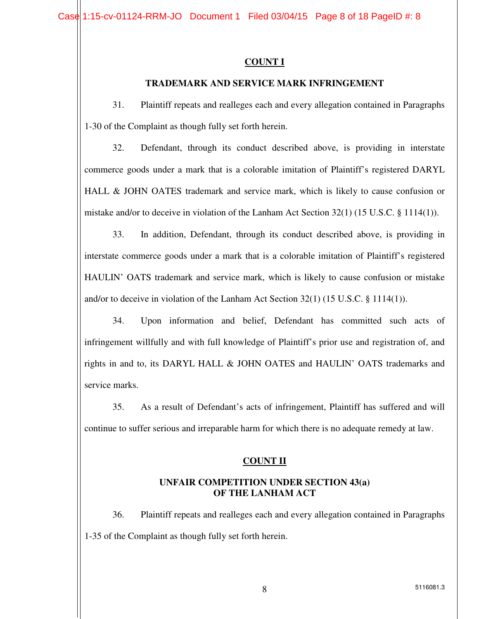#### **COUNT I**

#### **TRADEMARK AND SERVICE MARK INFRINGEMENT**

31. Plaintiff repeats and realleges each and every allegation contained in Paragraphs 1-30 of the Complaint as though fully set forth herein.

32. Defendant, through its conduct described above, is providing in interstate commerce goods under a mark that is a colorable imitation of Plaintiff's registered DARYL HALL & JOHN OATES trademark and service mark, which is likely to cause confusion or mistake and/or to deceive in violation of the Lanham Act Section 32(1) (15 U.S.C. § 1114(1)).

33. In addition, Defendant, through its conduct described above, is providing in interstate commerce goods under a mark that is a colorable imitation of Plaintiff's registered HAULIN' OATS trademark and service mark, which is likely to cause confusion or mistake and/or to deceive in violation of the Lanham Act Section 32(1) (15 U.S.C. § 1114(1)).

34. Upon information and belief, Defendant has committed such acts of infringement willfully and with full knowledge of Plaintiff's prior use and registration of, and rights in and to, its DARYL HALL & JOHN OATES and HAULIN' OATS trademarks and service marks.

35. As a result of Defendant's acts of infringement, Plaintiff has suffered and will continue to suffer serious and irreparable harm for which there is no adequate remedy at law.

#### **COUNT II**

#### **UNFAIR COMPETITION UNDER SECTION 43(a) OF THE LANHAM ACT**

36. Plaintiff repeats and realleges each and every allegation contained in Paragraphs 1-35 of the Complaint as though fully set forth herein.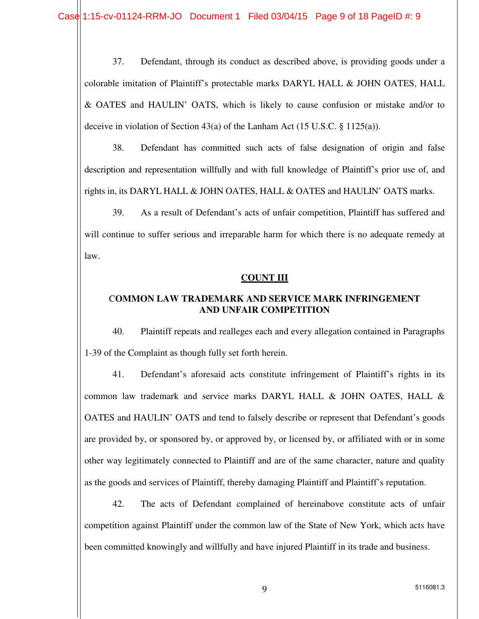37. Defendant, through its conduct as described above, is providing goods under a colorable imitation of Plaintiff's protectable marks DARYL HALL & JOHN OATES, HALL & OATES and HAULIN' OATS, which is likely to cause confusion or mistake and/or to deceive in violation of Section 43(a) of the Lanham Act (15 U.S.C. § 1125(a)).

38. Defendant has committed such acts of false designation of origin and false description and representation willfully and with full knowledge of Plaintiff's prior use of, and rights in, its DARYL HALL & JOHN OATES, HALL & OATES and HAULIN' OATS marks.

 39. As a result of Defendant's acts of unfair competition, Plaintiff has suffered and will continue to suffer serious and irreparable harm for which there is no adequate remedy at law.

#### **COUNT III**

#### C**OMMON LAW TRADEMARK AND SERVICE MARK INFRINGEMENT AND UNFAIR COMPETITION**

 40. Plaintiff repeats and realleges each and every allegation contained in Paragraphs 1-39 of the Complaint as though fully set forth herein.

 41. Defendant's aforesaid acts constitute infringement of Plaintiff's rights in its common law trademark and service marks DARYL HALL & JOHN OATES, HALL & OATES and HAULIN' OATS and tend to falsely describe or represent that Defendant's goods are provided by, or sponsored by, or approved by, or licensed by, or affiliated with or in some other way legitimately connected to Plaintiff and are of the same character, nature and quality as the goods and services of Plaintiff, thereby damaging Plaintiff and Plaintiff's reputation.

42. The acts of Defendant complained of hereinabove constitute acts of unfair competition against Plaintiff under the common law of the State of New York, which acts have been committed knowingly and willfully and have injured Plaintiff in its trade and business.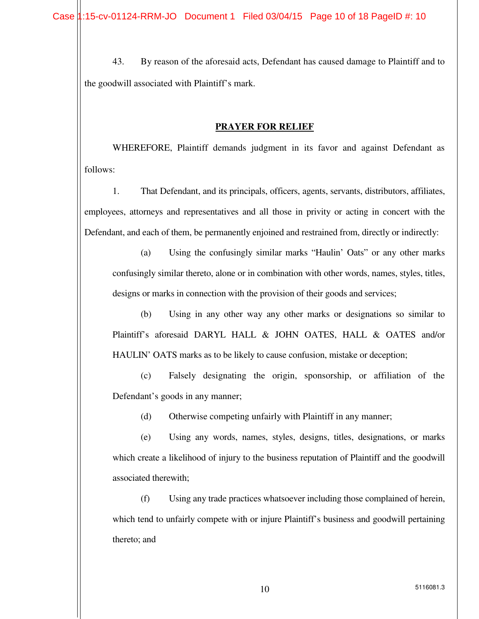43. By reason of the aforesaid acts, Defendant has caused damage to Plaintiff and to the goodwill associated with Plaintiff's mark.

#### **PRAYER FOR RELIEF**

 WHEREFORE, Plaintiff demands judgment in its favor and against Defendant as follows:

1. That Defendant, and its principals, officers, agents, servants, distributors, affiliates, employees, attorneys and representatives and all those in privity or acting in concert with the Defendant, and each of them, be permanently enjoined and restrained from, directly or indirectly:

(a) Using the confusingly similar marks "Haulin' Oats" or any other marks confusingly similar thereto, alone or in combination with other words, names, styles, titles, designs or marks in connection with the provision of their goods and services;

(b) Using in any other way any other marks or designations so similar to Plaintiff's aforesaid DARYL HALL & JOHN OATES, HALL & OATES and/or HAULIN' OATS marks as to be likely to cause confusion, mistake or deception;

(c) Falsely designating the origin, sponsorship, or affiliation of the Defendant's goods in any manner;

(d) Otherwise competing unfairly with Plaintiff in any manner;

(e) Using any words, names, styles, designs, titles, designations, or marks which create a likelihood of injury to the business reputation of Plaintiff and the goodwill associated therewith;

(f) Using any trade practices whatsoever including those complained of herein, which tend to unfairly compete with or injure Plaintiff's business and goodwill pertaining thereto; and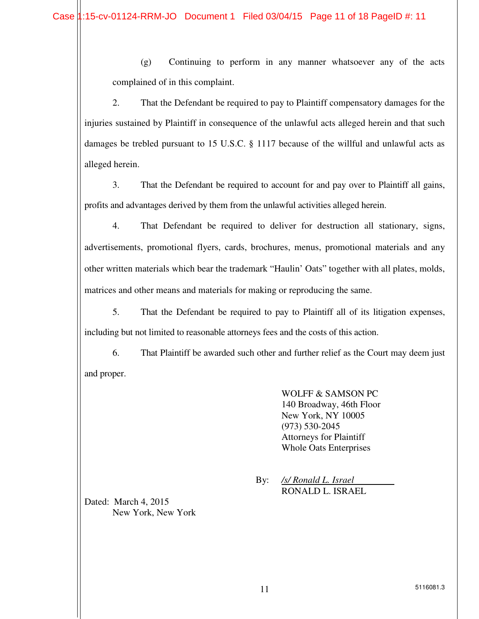(g) Continuing to perform in any manner whatsoever any of the acts complained of in this complaint.

2. That the Defendant be required to pay to Plaintiff compensatory damages for the injuries sustained by Plaintiff in consequence of the unlawful acts alleged herein and that such damages be trebled pursuant to 15 U.S.C. § 1117 because of the willful and unlawful acts as alleged herein.

3. That the Defendant be required to account for and pay over to Plaintiff all gains, profits and advantages derived by them from the unlawful activities alleged herein.

4. That Defendant be required to deliver for destruction all stationary, signs, advertisements, promotional flyers, cards, brochures, menus, promotional materials and any other written materials which bear the trademark "Haulin' Oats" together with all plates, molds, matrices and other means and materials for making or reproducing the same.

5. That the Defendant be required to pay to Plaintiff all of its litigation expenses, including but not limited to reasonable attorneys fees and the costs of this action.

 6. That Plaintiff be awarded such other and further relief as the Court may deem just and proper.

> WOLFF & SAMSON PC 140 Broadway, 46th Floor New York, NY 10005 (973) 530-2045 Attorneys for Plaintiff Whole Oats Enterprises

 By: */s/ Ronald L. Israel* RONALD L. ISRAEL

Dated: March 4, 2015 New York, New York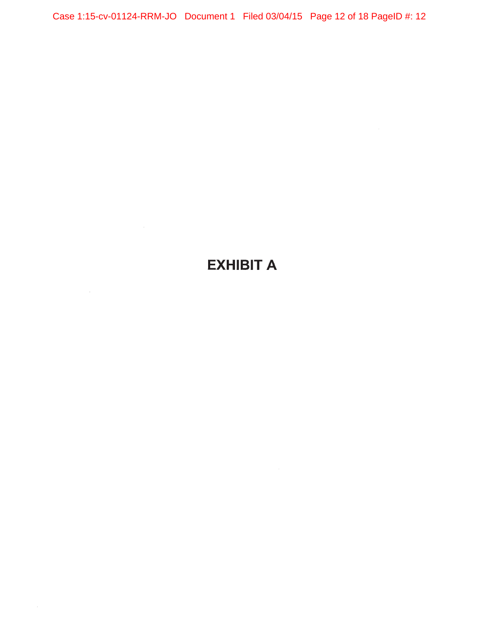Case 1:15-cv-01124-RRM-JO Document 1 Filed 03/04/15 Page 12 of 18 PageID #: 12

# **EXHIBIT A**

 $\mathcal{L}^{\mathcal{L}}(\mathcal{L}^{\mathcal{L}})$  . The  $\mathcal{L}^{\mathcal{L}}(\mathcal{L}^{\mathcal{L}})$ 

 $\sim$  4  $^{\circ}$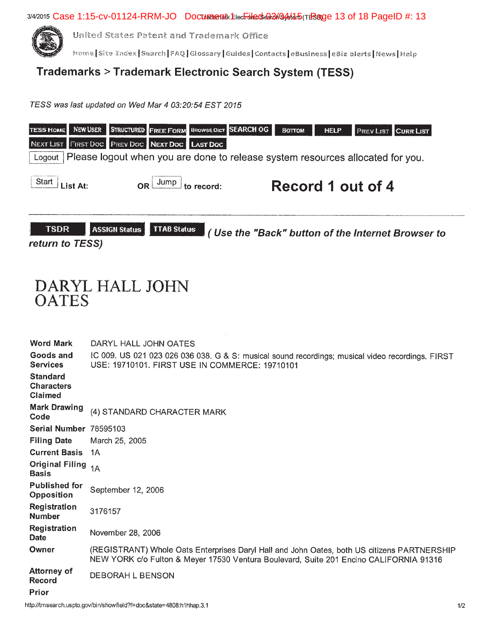

United States Patent and Trademark Office

Home Site Index Search FAQ Glossary Guides Contacts eBusiness eBiz alerts News Help

### Trademarks > Trademark Electronic Search System (TESS)

TESS was last updated on Wed Mar 4 03:20:54 EST 2015



# DARYL HALL JOHN **OATES**

**Word Mark** DARYL HALL JOHN OATES Goods and IC 009. US 021 023 026 036 038. G & S: musical sound recordings; musical video recordings. FIRST **Services** USE: 19710101. FIRST USE IN COMMERCE: 19710101 **Standard Characters Claimed Mark Drawing** (4) STANDARD CHARACTER MARK Code Serial Number 78595103 **Filing Date** March 25, 2005 **Current Basis** 1A Original Filing 1A **Basis Published for** September 12, 2006 **Opposition Registration** 3176157 **Number Registration** November 28, 2006 **Date** Owner (REGISTRANT) Whole Oats Enterprises Daryl Hall and John Oates, both US citizens PARTNERSHIP NEW YORK c/o Fulton & Meyer 17530 Ventura Boulevard, Suite 201 Encino CALIFORNIA 91316 **Attorney of DEBORAH L BENSON Record Prior**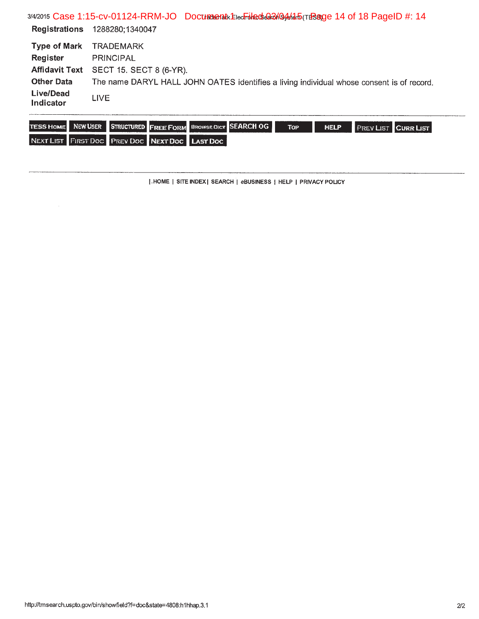3/4/2015 Case 1:15-cv-01124-RRM-JO Document Lecriled 03/04/15 (TE8 age 14 of 18 PageID #: 14 Registrations 1288280;1340047 Type of Mark TRADEMARK Register **PRINCIPAL** Affidavit Text SECT 15. SECT 8 (6-YR). The name DARYL HALL JOHN OATES identifies a living individual whose consent is of record. **Other Data Live/Dead** LIVE Indicator

|  |                                                | TESS HOME NEW USER STRUCTURED FREE FORM BROWSE DICT SEARCH OG. | To <sub>P</sub> | HELP | <b>I PREVLIST CURR LIST</b> |  |
|--|------------------------------------------------|----------------------------------------------------------------|-----------------|------|-----------------------------|--|
|  | NEXT LIST FIRST DOC PREV DOC NEXT DOC LAST DOC |                                                                |                 |      |                             |  |

[.HOME | SITE INDEX | SEARCH | eBUSINESS | HELP | PRIVACY POLICY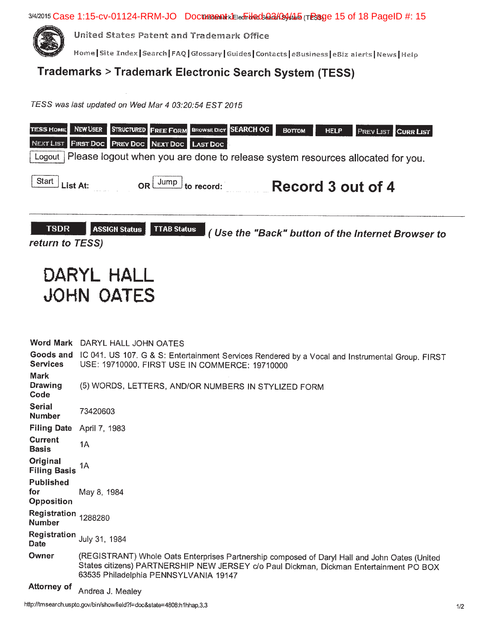3/4/2015 Case 1:15-cv-01124-RRM-JO Document KEIedForeds@GAGA4465 (TESauge 15 of 18 PageID #: 15



United States Patent and Trademark Office

Home Site Index Search FAQ Glossary Guides Contacts | eBusiness | eBiz alerts | News | Help

## Trademarks > Trademark Electronic Search System (TESS)

TESS was last updated on Wed Mar 4 03:20:54 EST 2015



# DARYL HALL **JOHN OATES**

Word Mark DARYL HALL JOHN OATES Goods and IC 041. US 107. G & S: Entertainment Services Rendered by a Vocal and Instrumental Group. FIRST **Services** USE: 19710000. FIRST USE IN COMMERCE: 19710000 **Mark Drawing** (5) WORDS, LETTERS, AND/OR NUMBERS IN STYLIZED FORM Code **Serial** 73420603 **Number** Filing Date April 7, 1983 **Current**  $1A$ **Basis** Original 1A **Filing Basis Published** for May 8, 1984 **Opposition** Registration 1288280 **Number** Registration July 31, 1984 Date Owner (REGISTRANT) Whole Oats Enterprises Partnership composed of Daryl Hall and John Oates (United States citizens) PARTNERSHIP NEW JERSEY c/o Paul Dickman, Dickman Entertainment PO BOX 63535 Philadelphia PENNSYLVANIA 19147 **Attorney of** 

Andrea J. Mealey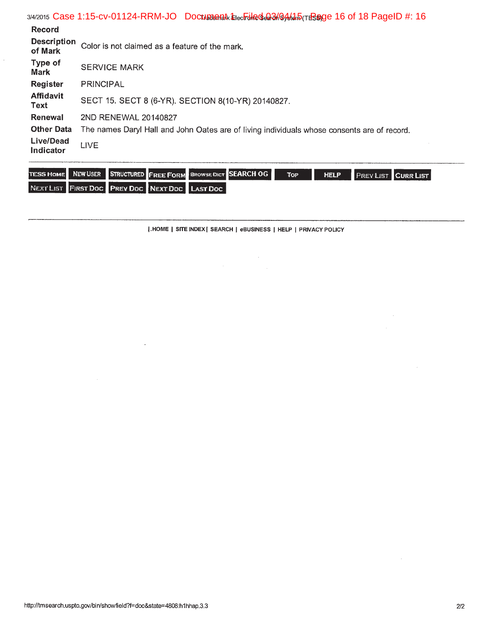|                               | 3/4/2015 Case 1:15-CV-01124-RRM-JO Doculate and Electric Case 3/6/6/4/4 5 (TERSAGE 16 of 18 Page ID #: 16 |  |  |  |  |  |
|-------------------------------|-----------------------------------------------------------------------------------------------------------|--|--|--|--|--|
| <b>Record</b>                 |                                                                                                           |  |  |  |  |  |
| <b>Description</b><br>of Mark | Color is not claimed as a feature of the mark.                                                            |  |  |  |  |  |
| Type of<br><b>Mark</b>        | <b>SERVICE MARK</b>                                                                                       |  |  |  |  |  |
| Register                      | <b>PRINCIPAL</b>                                                                                          |  |  |  |  |  |
| <b>Affidavit</b><br>Text      | SECT 15. SECT 8 (6-YR). SECTION 8(10-YR) 20140827.                                                        |  |  |  |  |  |
| Renewal                       | 2ND RENEWAL 20140827                                                                                      |  |  |  |  |  |
| <b>Other Data</b>             | The names Daryl Hall and John Oates are of living individuals whose consents are of record.               |  |  |  |  |  |
| Live/Dead<br>Indicator        | <b>LIVE</b>                                                                                               |  |  |  |  |  |
|                               |                                                                                                           |  |  |  |  |  |

|  |                                                | TESS HOME NEW USER STRUCTURED FREE FORM BROWSE DICT SEARCH OG | TOP <sup>1</sup> | <b>HELP</b> | <b>PREVIET CURR LIST</b> |  |
|--|------------------------------------------------|---------------------------------------------------------------|------------------|-------------|--------------------------|--|
|  | NEXT LIST FIRST DOC PREV DOC NEXT DOC LAST DOC |                                                               |                  |             |                          |  |

| .HOME | SITE INDEX | SEARCH | eBUSINESS | HELP | PRIVACY POLICY

 $\label{eq:2.1} \begin{split} \mathcal{L}_{\text{max}}(\mathbf{r}) & = \frac{1}{2} \mathcal{L}_{\text{max}}(\mathbf{r}) \mathcal{L}_{\text{max}}(\mathbf{r}) \\ & = \frac{1}{2} \mathcal{L}_{\text{max}}(\mathbf{r}) \mathcal{L}_{\text{max}}(\mathbf{r}) \mathcal{L}_{\text{max}}(\mathbf{r}) \mathcal{L}_{\text{max}}(\mathbf{r}) \mathcal{L}_{\text{max}}(\mathbf{r}) \mathcal{L}_{\text{max}}(\mathbf{r}) \mathcal{L}_{\text{max}}(\mathbf{r}) \mathcal{L}_{\text{max}}(\mathbf{r})$ 

 $\bar{\tau}$ 

 $\hat{\mathcal{L}}$ 

 $\sim 0.1$ 

 $\bar{z}$ 

 $\sim$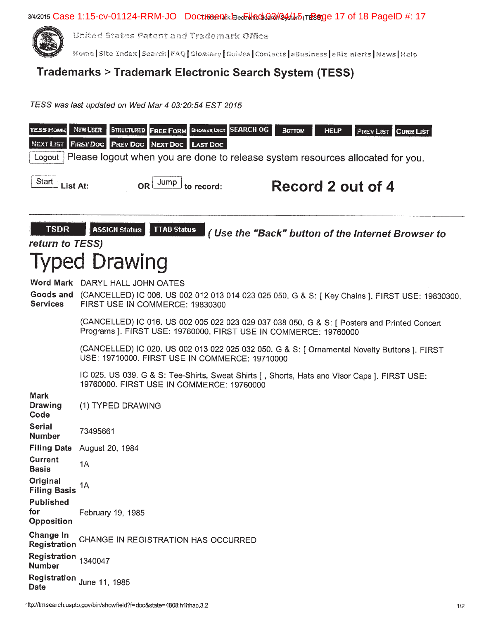3/4/2015 Case 1:15-cv-01124-RRM-JO Doctratenatk Electrolleds and Saldard Tresage 17 of 18 PageID #: 17



United States Patent and Trademark Office

Home Site Index | Search | FAQ | Glossary | Guides | Contacts | eBusiness | eBiz alerts | News | Help

## Trademarks > Trademark Electronic Search System (TESS)

TESS was last updated on Wed Mar 4 03:20:54 EST 2015

| <b>TESS HOME</b><br>NEXT LIST<br>Logout      | <b>FREE FORM BROWSE DICT SEARCH OG</b><br>NEW USER<br><b>STRUCTURED</b><br><b>HELP</b><br><b>PREV LIST CURR LIST</b><br>Воттом<br>FIRST DOC PREV DOC NEXT DOC LAST DOC<br>Please logout when you are done to release system resources allocated for you. |
|----------------------------------------------|----------------------------------------------------------------------------------------------------------------------------------------------------------------------------------------------------------------------------------------------------------|
| Start<br>List At:                            | OR Jump<br>Record 2 out of 4<br>to record:                                                                                                                                                                                                               |
| <b>TSDR</b><br>return to TESS)               | <b>ASSIGN Status</b><br><b>TTAB Status</b><br>(Use the "Back" button of the Internet Browser to                                                                                                                                                          |
|                                              | Typed Drawing                                                                                                                                                                                                                                            |
| <b>Services</b>                              | Word Mark DARYL HALL JOHN OATES<br>Goods and (CANCELLED) IC 006. US 002 012 013 014 023 025 050. G & S: [ Key Chains ]. FIRST USE: 19830300.<br>FIRST USE IN COMMERCE: 19830300                                                                          |
|                                              | (CANCELLED) IC 016. US 002 005 022 023 029 037 038 050. G & S: [ Posters and Printed Concert<br>Programs ]. FIRST USE: 19760000. FIRST USE IN COMMERCE: 19760000                                                                                         |
|                                              | (CANCELLED) IC 020. US 002 013 022 025 032 050. G & S: [ Ornamental Novelty Buttons ]. FIRST<br>USE: 19710000. FIRST USE IN COMMERCE: 19710000                                                                                                           |
|                                              | IC 025. US 039. G & S: Tee-Shirts, Sweat Shirts [, Shorts, Hats and Visor Caps ]. FIRST USE:<br>19760000, FIRST USE IN COMMERCE: 19760000                                                                                                                |
| <b>Mark</b><br>Drawing<br>Code               | (1) TYPED DRAWING                                                                                                                                                                                                                                        |
| <b>Serial</b><br><b>Number</b>               | 73495661                                                                                                                                                                                                                                                 |
| <b>Filing Date</b>                           | August 20, 1984                                                                                                                                                                                                                                          |
| <b>Current</b><br>Basis                      | 1A                                                                                                                                                                                                                                                       |
| Original<br><b>Filing Basis</b>              | 1A                                                                                                                                                                                                                                                       |
| <b>Published</b><br>for<br><b>Opposition</b> | February 19, 1985                                                                                                                                                                                                                                        |
| <b>Change In</b><br>Registration             | CHANGE IN REGISTRATION HAS OCCURRED                                                                                                                                                                                                                      |
| Registration 1340047<br><b>Number</b>        |                                                                                                                                                                                                                                                          |
| <b>Date</b>                                  | Registration June 11, 1985                                                                                                                                                                                                                               |